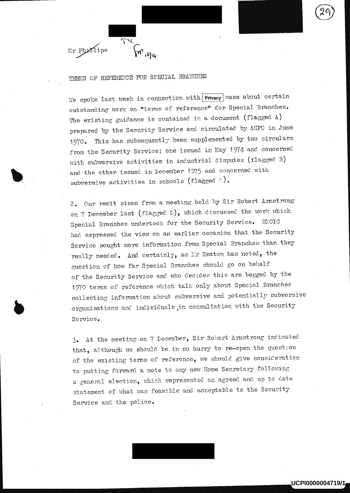## TERMS OF REFERENCE FOR SPECIAL BRANCHES

 $\mathfrak{g}_{\mathfrak{m}}$ ,  $\mathfrak{g}_{\mathfrak{m}}$ 

 $\mathcal{L}$ 

Mr Phxilips

We spoke last week in connection with  $|P|$  ase about certain outstanding work on "terms of reference" for Special Branches. The existing guidance is contained in a document (flagged A) prepared by the Security Service and circulated by ACP0 in June 1970. This has subsequently been supplemented by two circulars from the Security Service; one issued in May 1974 and concerned with subversive activities in industrial disputes (flagged B) and the other issued, in December 1975 and concerned with subversive activities in schools (flagged  $\circ$ ).

<sup>2</sup>. Our remit stems from a meeting held by Sir Robert Armstrong on 7 December last (flagged D), which discussed the work which Special Branches undertook for the Security Service. HMCIC <sup>h</sup>ad expressed the view on an earlier occasion that the Security Service sought more information from Special Branches than they really needed. And certainly, as Mr Heaton has noted, the question of how far Special Branches should go on behalf of the Security Service and who decides this are begged by the <sup>1</sup>970 terms of reference which talk only about Special Branches collecting information about subversive and potentially subversive .organisations and individuals ,in consultation with the Security Service.

<sup>3</sup>. At the meeting on 7 December, Sir Robert Armstrong indicated that, although we should be in no hurry to re-open the question of the existing terms of reference, we should give consideration <sup>t</sup>o putting forward a note to any new Home Secretary 'following <sup>a</sup> general election, which represented an agreed and, up to date statement of what was feasible and acceptable to the Security Service and the police.